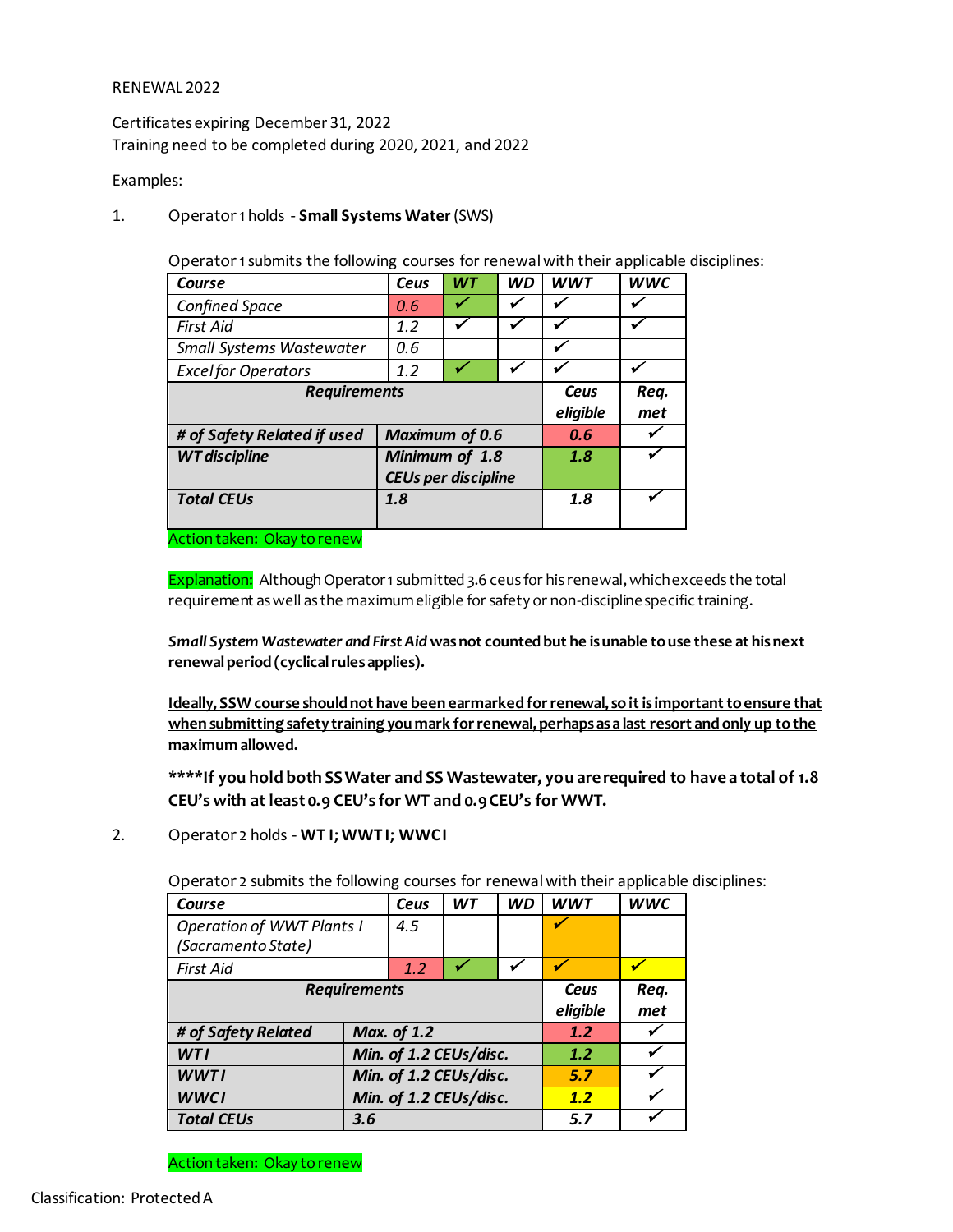#### RENEWAL 2022

Certificates expiring December 31, 2022 Training need to be completed during 2020, 2021, and 2022

#### Examples:

1. Operator 1 holds - **Small Systems Water**(SWS)

Operator 1submits the following courses for renewal with their applicable disciplines:

| Course                      | Ceus                       | <b>WT</b> | <b>WD</b> | <b>WWT</b>               | <b>WWC</b> |
|-----------------------------|----------------------------|-----------|-----------|--------------------------|------------|
| Confined Space              | 0.6                        |           |           |                          |            |
| <b>First Aid</b>            | 1.2                        |           |           |                          |            |
| Small Systems Wastewater    | 0.6                        |           |           | $\overline{\phantom{a}}$ |            |
| <b>Excel for Operators</b>  | 1.2                        |           | ✔         | v                        |            |
| <b>Requirements</b>         | Ceus                       | Req.      |           |                          |            |
|                             | eligible                   | met       |           |                          |            |
| # of Safety Related if used | <b>Maximum of 0.6</b>      |           |           |                          |            |
| <b>WT</b> discipline        | Minimum of 1.8             |           |           | 1.8                      |            |
|                             | <b>CEUs per discipline</b> |           |           |                          |            |
| <b>Total CEUs</b>           | 1.8                        |           |           | 1.8                      |            |
|                             |                            |           |           |                          |            |

Action taken: Okay to renew

Explanation: Although Operator 1 submitted 3.6 ceus for his renewal, which exceeds the total requirement as well as the maximum eligible for safety or non-discipline specific training.

*Small System Wastewater and First Aid* **was not counted but he is unable to use these at his next renewal period (cyclical rules applies).**

**Ideally, SSW course should not have been earmarked for renewal, so it is important to ensure that when submitting safety training you mark for renewal, perhaps as a last resort and only up to the maximum allowed.**

**\*\*\*\*If you hold both SS Water and SS Wastewater, you are required to have a total of 1.8 CEU's with at least 0.9 CEU's for WT and 0.9 CEU's for WWT.** 

2. Operator 2 holds - **WT I; WWT I; WWC I**

Operator 2 submits the following courses for renewal with their applicable disciplines:

| Course                           |                        | Ceus | <b>WT</b> | <b>WD</b> | <b>WWT</b> | <b>WWC</b> |
|----------------------------------|------------------------|------|-----------|-----------|------------|------------|
| <b>Operation of WWT Plants I</b> | 4.5                    |      |           |           |            |            |
| (Sacramento State)               |                        |      |           |           |            |            |
| <b>First Aid</b>                 |                        | 1.2  |           |           |            |            |
| <b>Requirements</b>              |                        |      |           |           | Ceus       | Req.       |
|                                  |                        |      |           |           | eligible   | met        |
| # of Safety Related              | <b>Max. of 1.2</b>     |      |           | 1.2       |            |            |
| WTI                              | Min. of 1.2 CEUs/disc. |      |           |           | 1.2        |            |
| <b>WWTI</b>                      | Min. of 1.2 CEUs/disc. |      |           | 5.7       |            |            |
| <b>WWCI</b>                      | Min. of 1.2 CEUs/disc. |      |           | 1.2       |            |            |
| <b>Total CEUs</b>                | 3.6                    |      |           | 5.7       |            |            |

Action taken: Okay to renew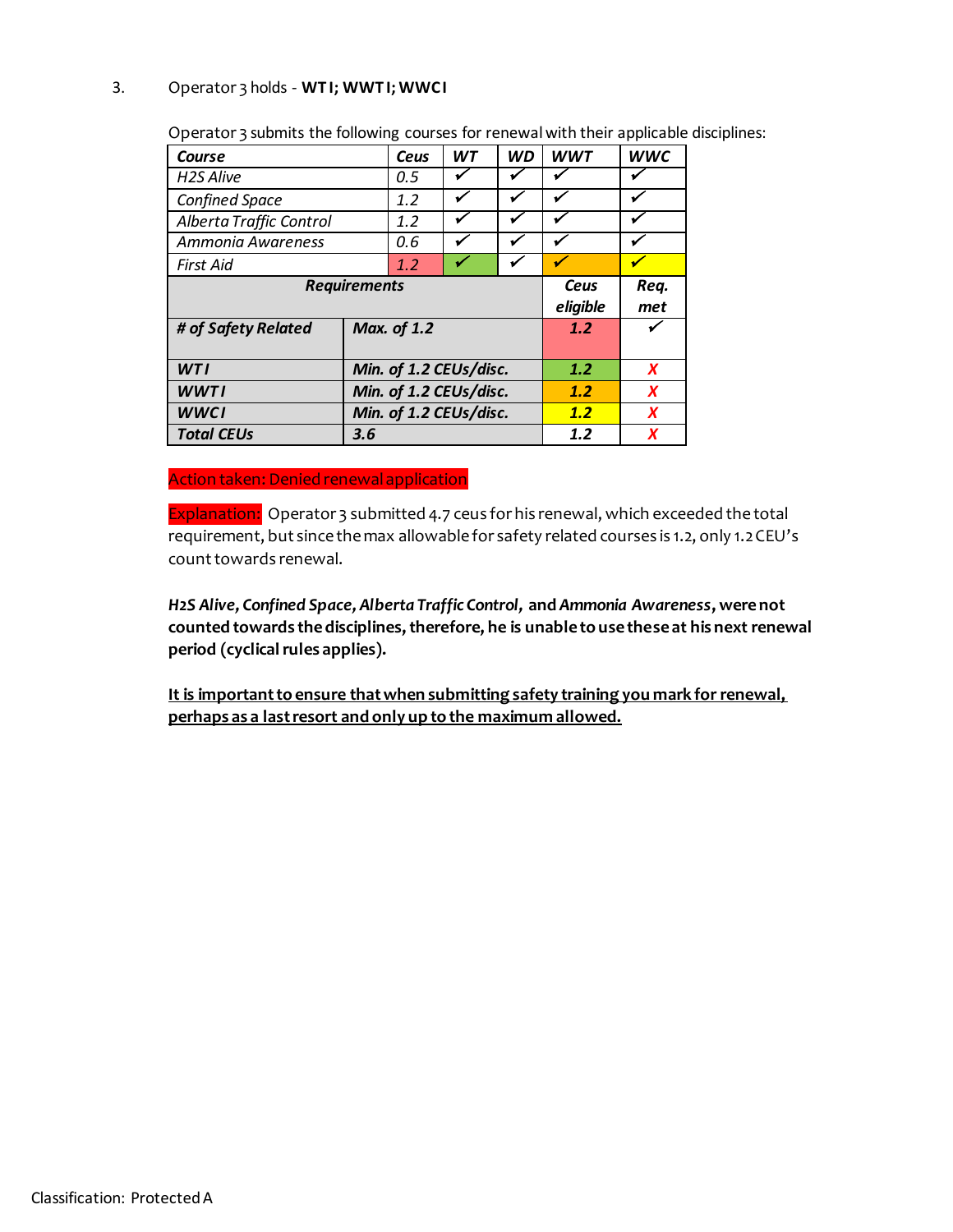### 3. Operator 3 holds - **WT I; WWT I; WWC I**

| Course                  |                        | Ceus | <b>WT</b> | <b>WD</b>    | <b>WWT</b> | <b>WWC</b> |
|-------------------------|------------------------|------|-----------|--------------|------------|------------|
| <b>H2S Alive</b>        |                        | 0.5  |           |              |            |            |
| <b>Confined Space</b>   |                        | 1.2  |           | ✔            |            |            |
| Alberta Traffic Control |                        | 1.2  |           | $\checkmark$ |            |            |
| Ammonia Awareness       |                        | 0.6  |           | ✔            |            |            |
| First Aid               | 1.2                    |      |           |              |            |            |
| <b>Requirements</b>     |                        |      |           |              | Ceus       | Req.       |
|                         |                        |      |           |              | eligible   | met        |
| # of Safety Related     | <b>Max. of 1.2</b>     |      |           |              | 1.2        |            |
|                         |                        |      |           |              |            |            |
| <b>WTI</b>              | Min. of 1.2 CEUs/disc. |      |           |              | 1.2        | X          |
| <b>WWTI</b>             | Min. of 1.2 CEUs/disc. |      |           |              | 1.2        | X          |
| <b>WWCI</b>             | Min. of 1.2 CEUs/disc. |      |           | 1.2          | X          |            |
| <b>Total CEUs</b>       | 3.6                    |      |           | 1.2          | X          |            |

Operator 3 submits the following courses for renewal with their applicable disciplines:

Action taken: Denied renewal application

Explanation: Operator 3 submitted 4.7 ceus for his renewal, which exceeded the total requirement, but since the max allowable for safety related courses is 1.2, only 1.2 CEU's count towards renewal.

*H2S Alive, Confined Space, Alberta Traffic Control,* **and** *Ammonia Awareness***, were not counted towards the disciplines, therefore, he is unable to use these at his next renewal period (cyclical rules applies).**

**It is important to ensure that when submitting safety training you mark for renewal, perhaps as a last resort and only up to the maximum allowed.**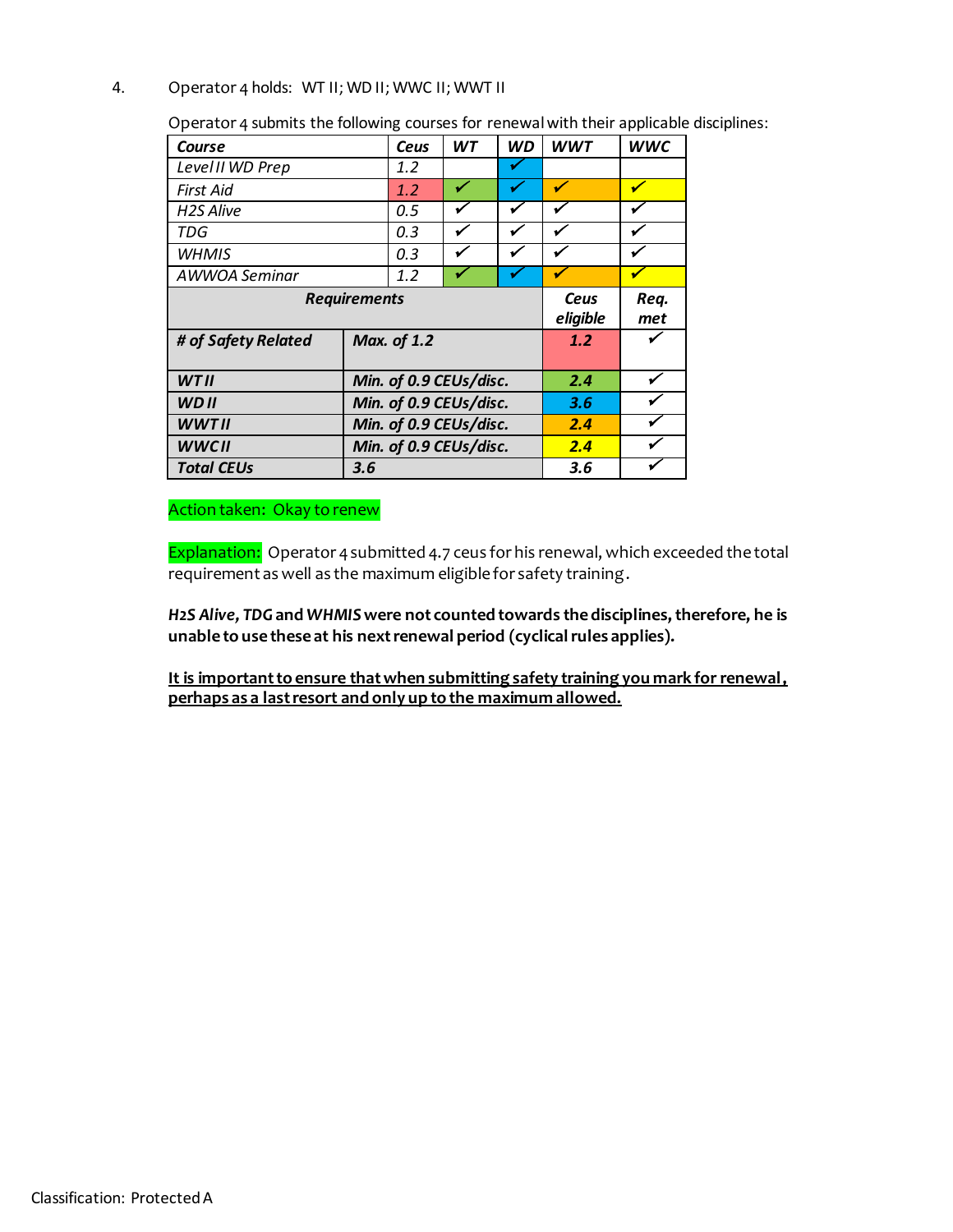#### 4. Operator 4 holds: WT II; WD II; WWC II; WWT II

Operator 4 submits the following courses for renewal with their applicable disciplines:

| Course                 |                        | Ceus               | <b>WT</b> | <b>WD</b> | <b>WWT</b>       | <b>WWC</b>  |
|------------------------|------------------------|--------------------|-----------|-----------|------------------|-------------|
| Level II WD Prep       |                        | 1.2                |           |           |                  |             |
| First Aid              |                        | 1.2                |           | ✔         | ✔                |             |
| H <sub>2</sub> S Alive |                        | 0.5                |           | ✔         |                  |             |
| TDG                    |                        | 0.3                | ✔         | ✔         | ✔                |             |
| <b>WHMIS</b>           |                        | 0.3                |           | ✓         | ✔                |             |
| AWWOA Seminar          |                        | 1.2                |           | ✔         |                  |             |
| <b>Requirements</b>    |                        |                    |           |           | Ceus<br>eligible | Req.<br>met |
| # of Safety Related    |                        | <b>Max. of 1.2</b> |           |           |                  |             |
| <b>WTII</b>            | Min. of 0.9 CEUs/disc. |                    |           |           | 2.4              |             |
| <b>WDII</b>            | Min. of 0.9 CEUs/disc. |                    |           |           | 3.6              |             |
| <b>WWTII</b>           | Min. of 0.9 CEUs/disc. |                    |           | 2.4       |                  |             |
| <b>WWCII</b>           | Min. of 0.9 CEUs/disc. |                    |           | 2.4       |                  |             |
| <b>Total CEUs</b>      | 3.6                    |                    |           |           | 3.6              |             |

Action taken: Okay to renew

Explanation: Operator 4 submitted 4.7 ceus for his renewal, which exceeded the total requirement as well as the maximum eligible for safety training.

*H2S Alive, TDG***and** *WHMIS***were not counted towards the disciplines, therefore, he is unable to use these at his next renewal period (cyclical rules applies).** 

**It is important to ensure that when submitting safety training you mark for renewal, perhaps as a last resort and only up to the maximum allowed.**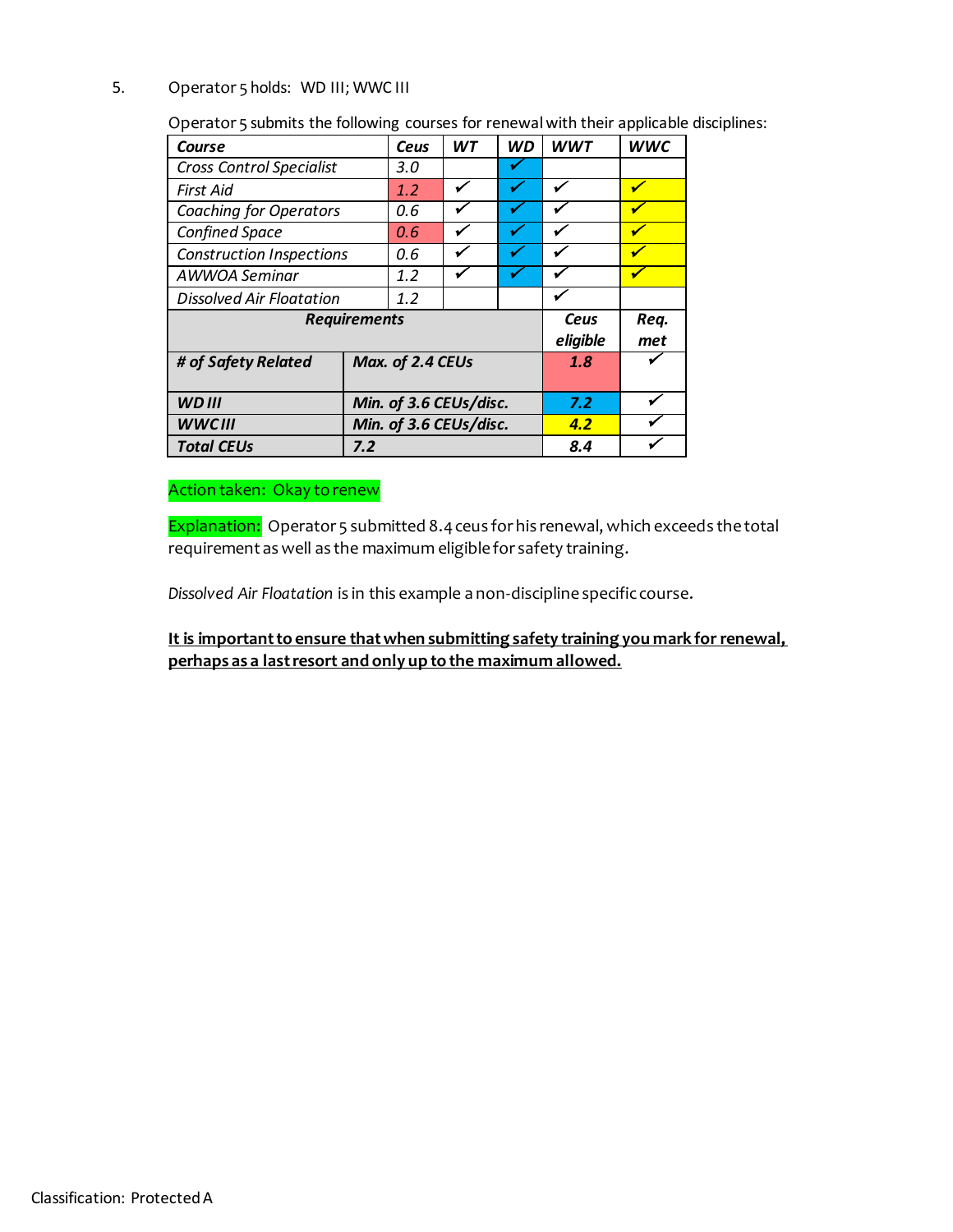#### 5. Operator 5 holds: WD III; WWC III

Operator 5 submits the following courses for renewalwith their applicable disciplines:

| Course                          |                        | Ceus             | <b>WT</b> | <b>WD</b> | <b>WWT</b>       | <b>WWC</b>  |
|---------------------------------|------------------------|------------------|-----------|-----------|------------------|-------------|
| <b>Cross Control Specialist</b> |                        | 3.0              |           |           |                  |             |
| First Aid                       |                        | 1.2              | ✔         | ✔         |                  |             |
| <b>Coaching for Operators</b>   |                        | 0.6              |           |           |                  |             |
| <b>Confined Space</b>           |                        | 0.6              |           |           |                  |             |
| <b>Construction Inspections</b> |                        | 0.6              |           |           |                  |             |
| AWWOA Seminar                   |                        | 1.2              |           |           |                  |             |
| <b>Dissolved Air Floatation</b> | 1.2                    |                  |           |           |                  |             |
| <b>Requirements</b>             |                        |                  |           |           | Ceus<br>eligible | Req.<br>met |
| # of Safety Related             |                        | Max. of 2.4 CEUs |           | 1.8       |                  |             |
| <b>WDIII</b>                    | Min. of 3.6 CEUs/disc. |                  |           | 7.2       |                  |             |
| <b>WWCIII</b>                   | Min. of 3.6 CEUs/disc. |                  |           | 4.2       |                  |             |
| <b>Total CEUs</b>               | 7.2                    |                  |           |           | 8.4              |             |

# Action taken: Okay to renew

Explanation: Operator 5 submitted 8.4 ceus for his renewal, which exceeds the total requirement as well as the maximum eligible for safety training.

*Dissolved Air Floatation* is in this example a non-discipline specific course.

**It is important to ensure that when submitting safety training you mark for renewal, perhaps as a last resort and only up to the maximum allowed.**